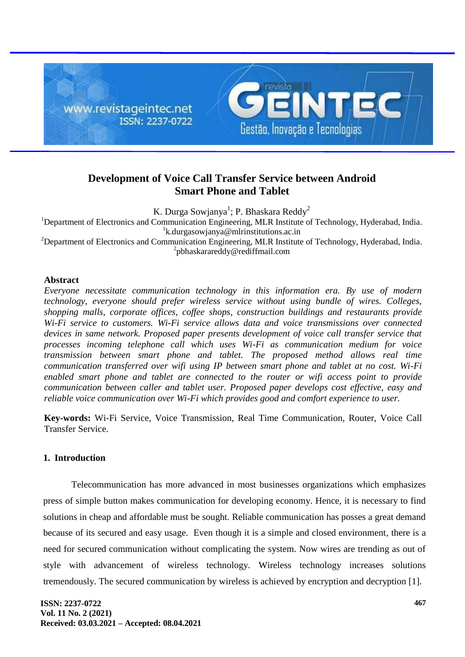

# **Development of Voice Call Transfer Service between Android Smart Phone and Tablet**

K. Durga Sowjanya<sup>1</sup>; P. Bhaskara Reddy<sup>2</sup>

<sup>1</sup>Department of Electronics and Communication Engineering, MLR Institute of Technology, Hyderabad, India. 1 [k.durgasowjanya@mlrinstitutions.ac.in](mailto:k.durgasowjanya@mlrinstitutions.ac.in)

<sup>2</sup>Department of Electronics and Communication Engineering, MLR Institute of Technology, Hyderabad, India. 2 [pbhaskarareddy@rediffmail.com](mailto:pbhaskarareddy@rediffmail.com)

### **Abstract**

*Everyone necessitate communication technology in this information era. By use of modern technology, everyone should prefer wireless service without using bundle of wires. Colleges, shopping malls, corporate offices, coffee shops, construction buildings and restaurants provide Wi-Fi service to customers. Wi-Fi service allows data and voice transmissions over connected devices in same network. Proposed paper presents development of voice call transfer service that processes incoming telephone call which uses Wi-Fi as communication medium for voice transmission between smart phone and tablet. The proposed method allows real time communication transferred over wifi using IP between smart phone and tablet at no cost. Wi-Fi enabled smart phone and tablet are connected to the router or wifi access point to provide communication between caller and tablet user. Proposed paper develops cost effective, easy and reliable voice communication over Wi-Fi which provides good and comfort experience to user.*

**Key-words:** Wi-Fi Service, Voice Transmission, Real Time Communication, Router, Voice Call Transfer Service.

## **1. Introduction**

Telecommunication has more advanced in most businesses organizations which emphasizes press of simple button makes communication for developing economy. Hence, it is necessary to find solutions in cheap and affordable must be sought. Reliable communication has posses a great demand because of its secured and easy usage. Even though it is a simple and closed environment, there is a need for secured communication without complicating the system. Now wires are trending as out of style with advancement of wireless technology. Wireless technology increases solutions tremendously. The secured communication by wireless is achieved by encryption and decryption [1].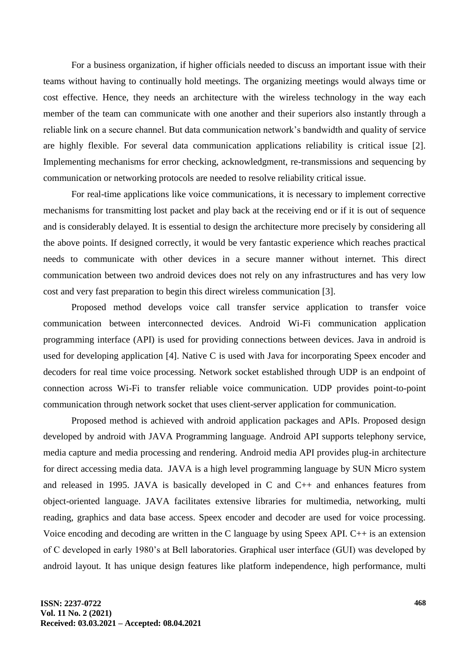For a business organization, if higher officials needed to discuss an important issue with their teams without having to continually hold meetings. The organizing meetings would always time or cost effective. Hence, they needs an architecture with the wireless technology in the way each member of the team can communicate with one another and their superiors also instantly through a reliable link on a secure channel. But data communication network's bandwidth and quality of service are highly flexible. For several data communication applications reliability is critical issue [2]. Implementing mechanisms for error checking, acknowledgment, re-transmissions and sequencing by communication or networking protocols are needed to resolve reliability critical issue.

For real-time applications like voice communications, it is necessary to implement corrective mechanisms for transmitting lost packet and play back at the receiving end or if it is out of sequence and is considerably delayed. It is essential to design the architecture more precisely by considering all the above points. If designed correctly, it would be very fantastic experience which reaches practical needs to communicate with other devices in a secure manner without internet. This direct communication between two android devices does not rely on any infrastructures and has very low cost and very fast preparation to begin this direct wireless communication [3].

Proposed method develops voice call transfer service application to transfer voice communication between interconnected devices. Android Wi-Fi communication application programming interface (API) is used for providing connections between devices. Java in android is used for developing application [4]. Native C is used with Java for incorporating Speex encoder and decoders for real time voice processing. Network socket established through UDP is an endpoint of connection across Wi-Fi to transfer reliable voice communication. UDP provides point-to-point communication through network socket that uses client-server application for communication.

Proposed method is achieved with android application packages and APIs. Proposed design developed by android with JAVA Programming language. Android API supports telephony service, media capture and media processing and rendering. Android media API provides plug-in architecture for direct accessing media data. JAVA is a high level programming language by SUN Micro system and released in 1995. JAVA is basically developed in C and C++ and enhances features from object-oriented language. JAVA facilitates extensive libraries for multimedia, networking, multi reading, graphics and data base access. Speex encoder and decoder are used for voice processing. Voice encoding and decoding are written in the C language by using Speex API. C++ is an extension of C developed in early 1980's at Bell laboratories. Graphical user interface (GUI) was developed by android layout. It has unique design features like platform independence, high performance, multi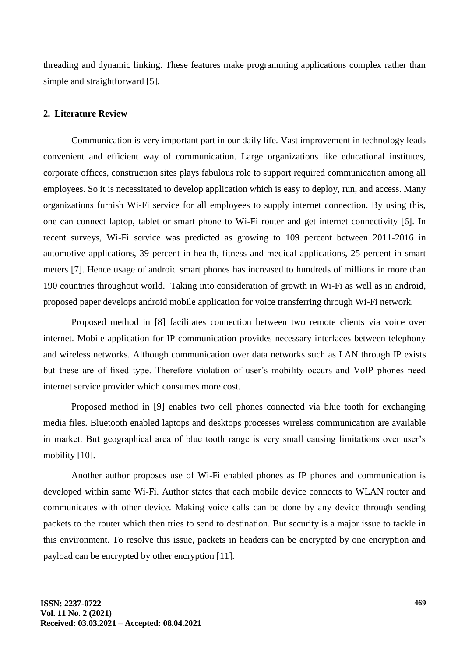threading and dynamic linking. These features make programming applications complex rather than simple and straightforward [5].

#### **2. Literature Review**

Communication is very important part in our daily life. Vast improvement in technology leads convenient and efficient way of communication. Large organizations like educational institutes, corporate offices, construction sites plays fabulous role to support required communication among all employees. So it is necessitated to develop application which is easy to deploy, run, and access. Many organizations furnish Wi-Fi service for all employees to supply internet connection. By using this, one can connect laptop, tablet or smart phone to Wi-Fi router and get internet connectivity [6]. In recent surveys, Wi-Fi service was predicted as growing to 109 percent between 2011-2016 in automotive applications, 39 percent in health, fitness and medical applications, 25 percent in smart meters [7]. Hence usage of android smart phones has increased to hundreds of millions in more than 190 countries throughout world. Taking into consideration of growth in Wi-Fi as well as in android, proposed paper develops android mobile application for voice transferring through Wi-Fi network.

Proposed method in [8] facilitates connection between two remote clients via voice over internet. Mobile application for IP communication provides necessary interfaces between telephony and wireless networks. Although communication over data networks such as LAN through IP exists but these are of fixed type. Therefore violation of user's mobility occurs and VoIP phones need internet service provider which consumes more cost.

Proposed method in [9] enables two cell phones connected via blue tooth for exchanging media files. Bluetooth enabled laptops and desktops processes wireless communication are available in market. But geographical area of blue tooth range is very small causing limitations over user's mobility [10].

Another author proposes use of Wi-Fi enabled phones as IP phones and communication is developed within same Wi-Fi. Author states that each mobile device connects to WLAN router and communicates with other device. Making voice calls can be done by any device through sending packets to the router which then tries to send to destination. But security is a major issue to tackle in this environment. To resolve this issue, packets in headers can be encrypted by one encryption and payload can be encrypted by other encryption [11].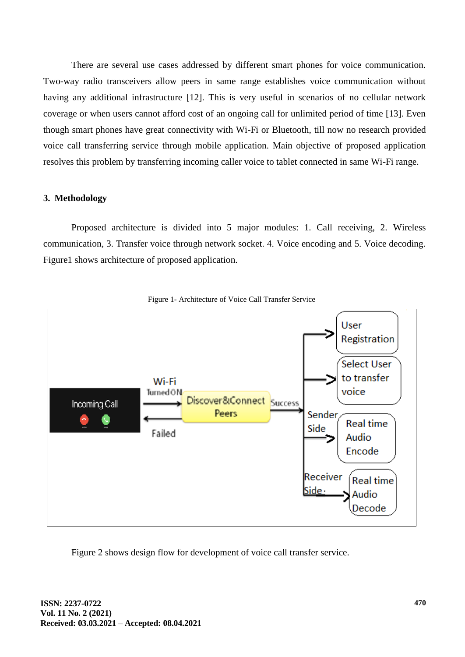There are several use cases addressed by different smart phones for voice communication. Two-way radio transceivers allow peers in same range establishes voice communication without having any additional infrastructure [12]. This is very useful in scenarios of no cellular network coverage or when users cannot afford cost of an ongoing call for unlimited period of time [13]. Even though smart phones have great connectivity with Wi-Fi or Bluetooth, till now no research provided voice call transferring service through mobile application. Main objective of proposed application resolves this problem by transferring incoming caller voice to tablet connected in same Wi-Fi range.

#### **3. Methodology**

Proposed architecture is divided into 5 major modules: 1. Call receiving, 2. Wireless communication, 3. Transfer voice through network socket. 4. Voice encoding and 5. Voice decoding. Figure1 shows architecture of proposed application.





Figure 2 shows design flow for development of voice call transfer service.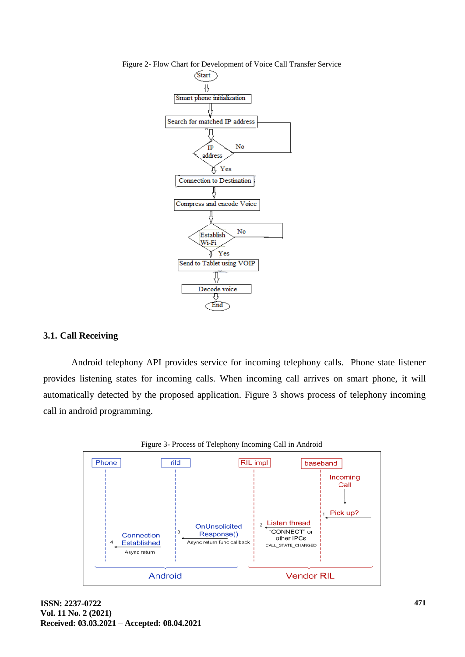

Figure 2- Flow Chart for Development of Voice Call Transfer Service

#### **3.1. Call Receiving**

Android telephony API provides service for incoming telephony calls. Phone state listener provides listening states for incoming calls. When incoming call arrives on smart phone, it will automatically detected by the proposed application. Figure 3 shows process of telephony incoming call in android programming.

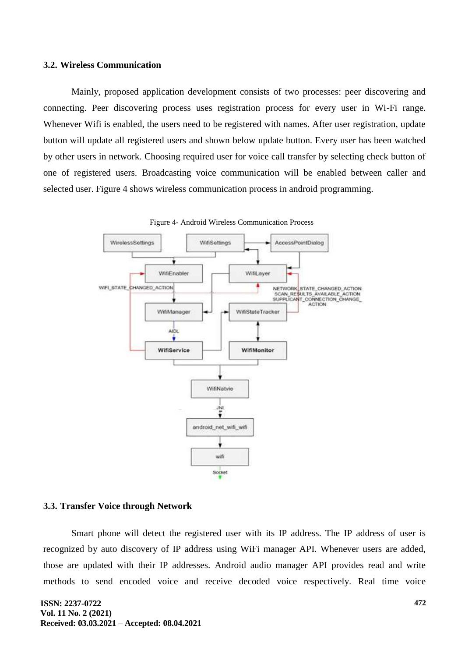#### **3.2. Wireless Communication**

Mainly, proposed application development consists of two processes: peer discovering and connecting. Peer discovering process uses registration process for every user in Wi-Fi range. Whenever Wifi is enabled, the users need to be registered with names. After user registration, update button will update all registered users and shown below update button. Every user has been watched by other users in network. Choosing required user for voice call transfer by selecting check button of one of registered users. Broadcasting voice communication will be enabled between caller and selected user. Figure 4 shows wireless communication process in android programming.





#### **3.3. Transfer Voice through Network**

Smart phone will detect the registered user with its IP address. The IP address of user is recognized by auto discovery of IP address using WiFi manager API. Whenever users are added, those are updated with their IP addresses. Android audio manager API provides read and write methods to send encoded voice and receive decoded voice respectively. Real time voice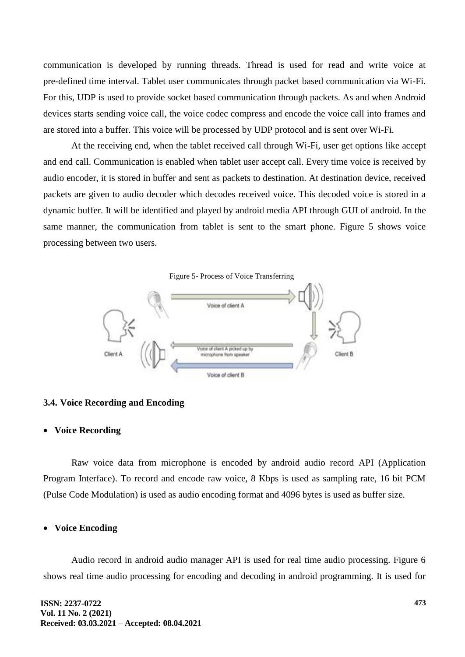communication is developed by running threads. Thread is used for read and write voice at pre-defined time interval. Tablet user communicates through packet based communication via Wi-Fi. For this, UDP is used to provide socket based communication through packets. As and when Android devices starts sending voice call, the voice codec compress and encode the voice call into frames and are stored into a buffer. This voice will be processed by UDP protocol and is sent over Wi-Fi.

At the receiving end, when the tablet received call through Wi-Fi, user get options like accept and end call. Communication is enabled when tablet user accept call. Every time voice is received by audio encoder, it is stored in buffer and sent as packets to destination. At destination device, received packets are given to audio decoder which decodes received voice. This decoded voice is stored in a dynamic buffer. It will be identified and played by android media API through GUI of android. In the same manner, the communication from tablet is sent to the smart phone. Figure 5 shows voice processing between two users.

Figure 5- Process of Voice Transferring



#### **3.4. Voice Recording and Encoding**

#### **Voice Recording**

Raw voice data from microphone is encoded by android audio record API (Application Program Interface). To record and encode raw voice, 8 Kbps is used as sampling rate, 16 bit PCM (Pulse Code Modulation) is used as audio encoding format and 4096 bytes is used as buffer size.

#### **Voice Encoding**

Audio record in android audio manager API is used for real time audio processing. Figure 6 shows real time audio processing for encoding and decoding in android programming. It is used for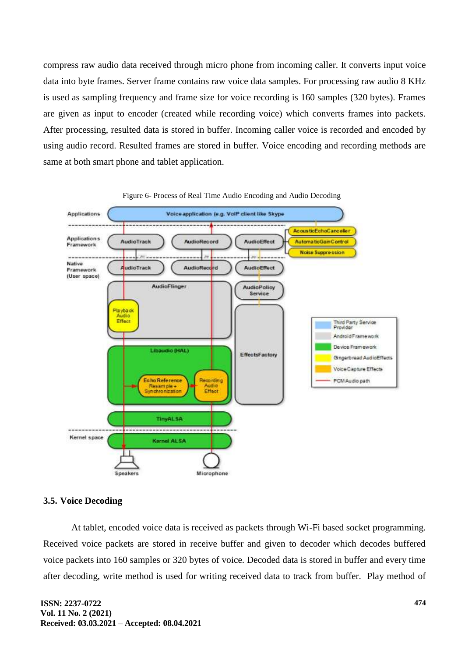compress raw audio data received through micro phone from incoming caller. It converts input voice data into byte frames. Server frame contains raw voice data samples. For processing raw audio 8 KHz is used as sampling frequency and frame size for voice recording is 160 samples (320 bytes). Frames are given as input to encoder (created while recording voice) which converts frames into packets. After processing, resulted data is stored in buffer. Incoming caller voice is recorded and encoded by using audio record. Resulted frames are stored in buffer. Voice encoding and recording methods are same at both smart phone and tablet application.



#### Figure 6- Process of Real Time Audio Encoding and Audio Decoding

#### **3.5. Voice Decoding**

At tablet, encoded voice data is received as packets through Wi-Fi based socket programming. Received voice packets are stored in receive buffer and given to decoder which decodes buffered voice packets into 160 samples or 320 bytes of voice. Decoded data is stored in buffer and every time after decoding, write method is used for writing received data to track from buffer. Play method of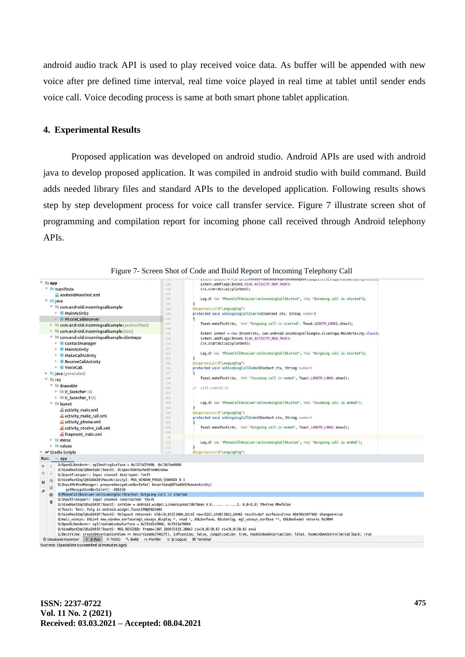android audio track API is used to play received voice data. As buffer will be appended with new voice after pre defined time interval, real time voice played in real time at tablet until sender ends voice call. Voice decoding process is same at both smart phone tablet application.

#### **4. Experimental Results**

Proposed application was developed on android studio. Android APIs are used with android java to develop proposed application. It was compiled in android studio with build command. Build adds needed library files and standard APIs to the developed application. Following results shows step by step development process for voice call transfer service. Figure 7 illustrate screen shot of programming and compilation report for incoming phone call received through Android telephony APIs.



Figure 7- Screen Shot of Code and Build Report of Incoming Telephony Call

Success: Operation succeeded (8 minutes ago)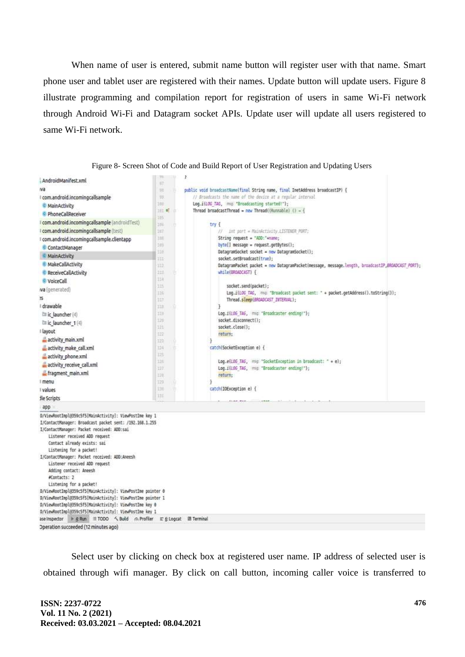When name of user is entered, submit name button will register user with that name. Smart phone user and tablet user are registered with their names. Update button will update users. Figure 8 illustrate programming and compilation report for registration of users in same Wi-Fi network through Android Wi-Fi and Datagram socket APIs. Update user will update all users registered to same Wi-Fi network.



Figure 8- Screen Shot of Code and Build Report of User Registration and Updating Users

Select user by clicking on check box at registered user name. IP address of selected user is obtained through wifi manager. By click on call button, incoming caller voice is transferred to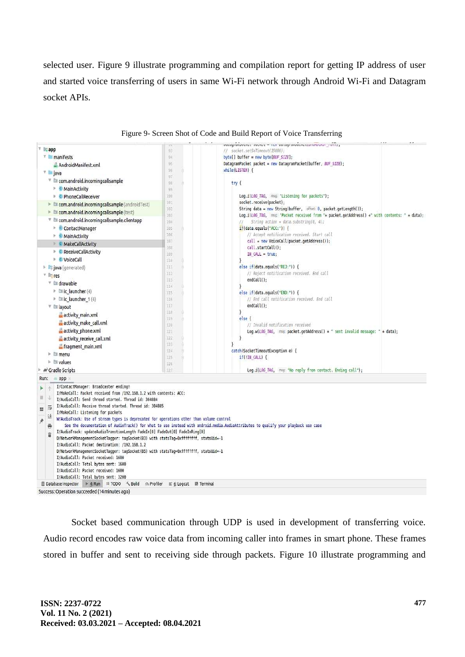selected user. Figure 9 illustrate programming and compilation report for getting IP address of user and started voice transferring of users in same Wi-Fi network through Android Wi-Fi and Datagram socket APIs.



#### Figure 9- Screen Shot of Code and Build Report of Voice Transferring

Socket based communication through UDP is used in development of transferring voice. Audio record encodes raw voice data from incoming caller into frames in smart phone. These frames stored in buffer and sent to receiving side through packets. Figure 10 illustrate programming and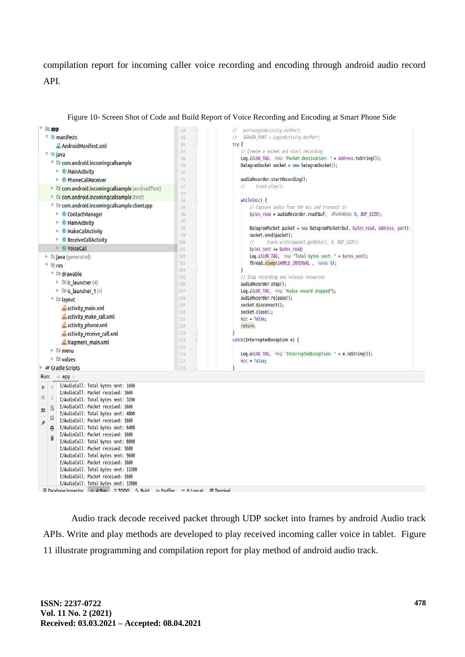compilation report for incoming caller voice recording and encoding through android audio record API.



Figure 10- Screen Shot of Code and Build Report of Voice Recording and Encoding at Smart Phone Side

Audio track decode received packet through UDP socket into frames by android Audio track APIs. Write and play methods are developed to play received incoming caller voice in tablet. Figure 11 illustrate programming and compilation report for play method of android audio track.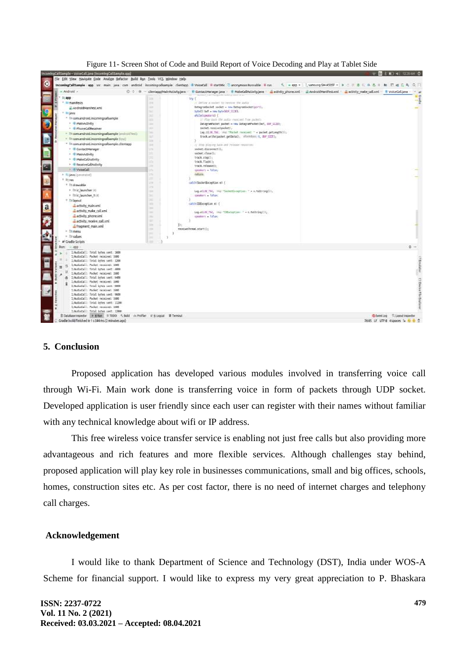

Figure 11- Screen Shot of Code and Build Report of Voice Decoding and Play at Tablet Side

### **5. Conclusion**

Proposed application has developed various modules involved in transferring voice call through Wi-Fi. Main work done is transferring voice in form of packets through UDP socket. Developed application is user friendly since each user can register with their names without familiar with any technical knowledge about wifi or IP address.

This free wireless voice transfer service is enabling not just free calls but also providing more advantageous and rich features and more flexible services. Although challenges stay behind, proposed application will play key role in businesses communications, small and big offices, schools, homes, construction sites etc. As per cost factor, there is no need of internet charges and telephony call charges.

### **Acknowledgement**

I would like to thank Department of Science and Technology (DST), India under WOS-A Scheme for financial support. I would like to express my very great appreciation to P. Bhaskara